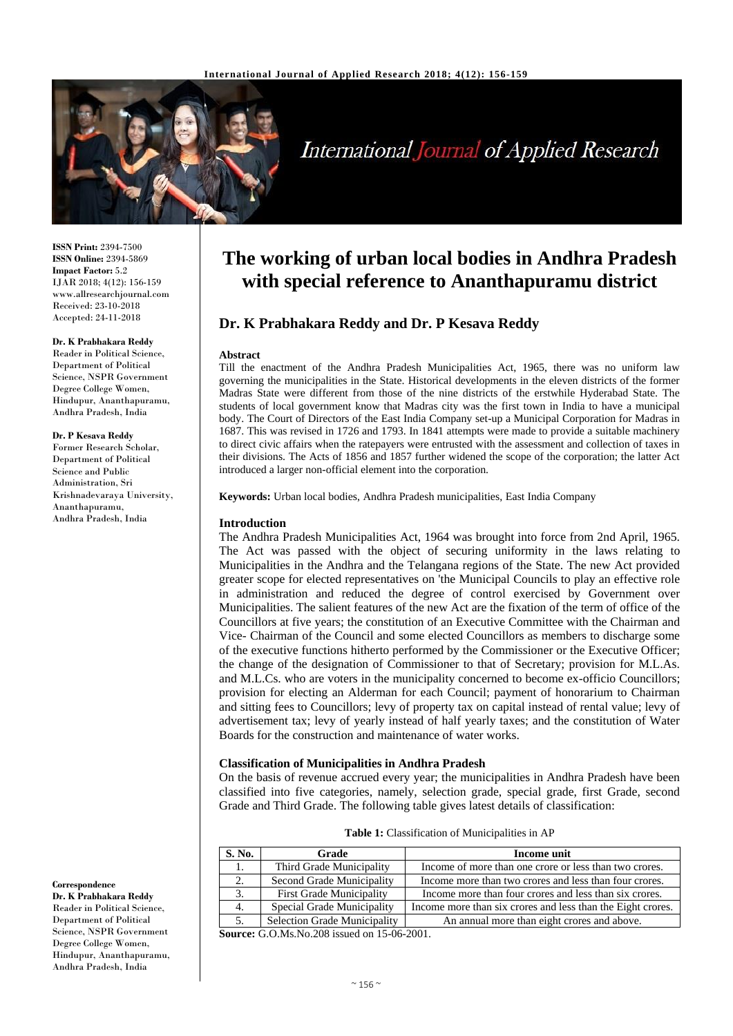

# **International Journal of Applied Research**

**ISSN Print:** 2394-7500 **ISSN Online:** 2394-5869 **Impact Factor:** 5.2 IJAR 2018; 4(12): 156-159 www.allresearchjournal.com Received: 23-10-2018 Accepted: 24-11-2018

#### **Dr. K Prabhakara Reddy**

Reader in Political Science, Department of Political Science, NSPR Government Degree College Women, Hindupur, Ananthapuramu, Andhra Pradesh, India

#### **Dr. P Kesava Reddy**

Former Research Scholar, Department of Political Science and Public Administration, Sri Krishnadevaraya University, Ananthapuramu, Andhra Pradesh, India

**Correspondence**

**Dr. K Prabhakara Reddy** Reader in Political Science, Department of Political Science, NSPR Government Degree College Women, Hindupur, Ananthapuramu, Andhra Pradesh, India

## **The working of urban local bodies in Andhra Pradesh with special reference to Ananthapuramu district**

### **Dr. K Prabhakara Reddy and Dr. P Kesava Reddy**

#### **Abstract**

Till the enactment of the Andhra Pradesh Municipalities Act, 1965, there was no uniform law governing the municipalities in the State. Historical developments in the eleven districts of the former Madras State were different from those of the nine districts of the erstwhile Hyderabad State. The students of local government know that Madras city was the first town in India to have a municipal body. The Court of Directors of the East India Company set-up a Municipal Corporation for Madras in 1687. This was revised in 1726 and 1793. In 1841 attempts were made to provide a suitable machinery to direct civic affairs when the ratepayers were entrusted with the assessment and collection of taxes in their divisions. The Acts of 1856 and 1857 further widened the scope of the corporation; the latter Act introduced a larger non-official element into the corporation.

**Keywords:** Urban local bodies, Andhra Pradesh municipalities, East India Company

#### **Introduction**

The Andhra Pradesh Municipalities Act, 1964 was brought into force from 2nd April, 1965. The Act was passed with the object of securing uniformity in the laws relating to Municipalities in the Andhra and the Telangana regions of the State. The new Act provided greater scope for elected representatives on 'the Municipal Councils to play an effective role in administration and reduced the degree of control exercised by Government over Municipalities. The salient features of the new Act are the fixation of the term of office of the Councillors at five years; the constitution of an Executive Committee with the Chairman and Vice- Chairman of the Council and some elected Councillors as members to discharge some of the executive functions hitherto performed by the Commissioner or the Executive Officer; the change of the designation of Commissioner to that of Secretary; provision for M.L.As. and M.L.Cs. who are voters in the municipality concerned to become ex-officio Councillors; provision for electing an Alderman for each Council; payment of honorarium to Chairman and sitting fees to Councillors; levy of property tax on capital instead of rental value; levy of advertisement tax; levy of yearly instead of half yearly taxes; and the constitution of Water Boards for the construction and maintenance of water works.

#### **Classification of Municipalities in Andhra Pradesh**

On the basis of revenue accrued every year; the municipalities in Andhra Pradesh have been classified into five categories, namely, selection grade, special grade, first Grade, second Grade and Third Grade. The following table gives latest details of classification:

| Table 1: Classification of Municipalities in AP |  |  |  |
|-------------------------------------------------|--|--|--|
|-------------------------------------------------|--|--|--|

| S. No. | Grade                               | Income unit                                                 |  |  |
|--------|-------------------------------------|-------------------------------------------------------------|--|--|
|        | Third Grade Municipality            | Income of more than one crore or less than two crores.      |  |  |
|        | Second Grade Municipality           | Income more than two crores and less than four crores.      |  |  |
|        | <b>First Grade Municipality</b>     | Income more than four crores and less than six crores.      |  |  |
|        | Special Grade Municipality          | Income more than six crores and less than the Eight crores. |  |  |
|        | <b>Selection Grade Municipality</b> | An annual more than eight crores and above.                 |  |  |

**Source:** G.O.Ms.No.208 issued on 15-06-2001.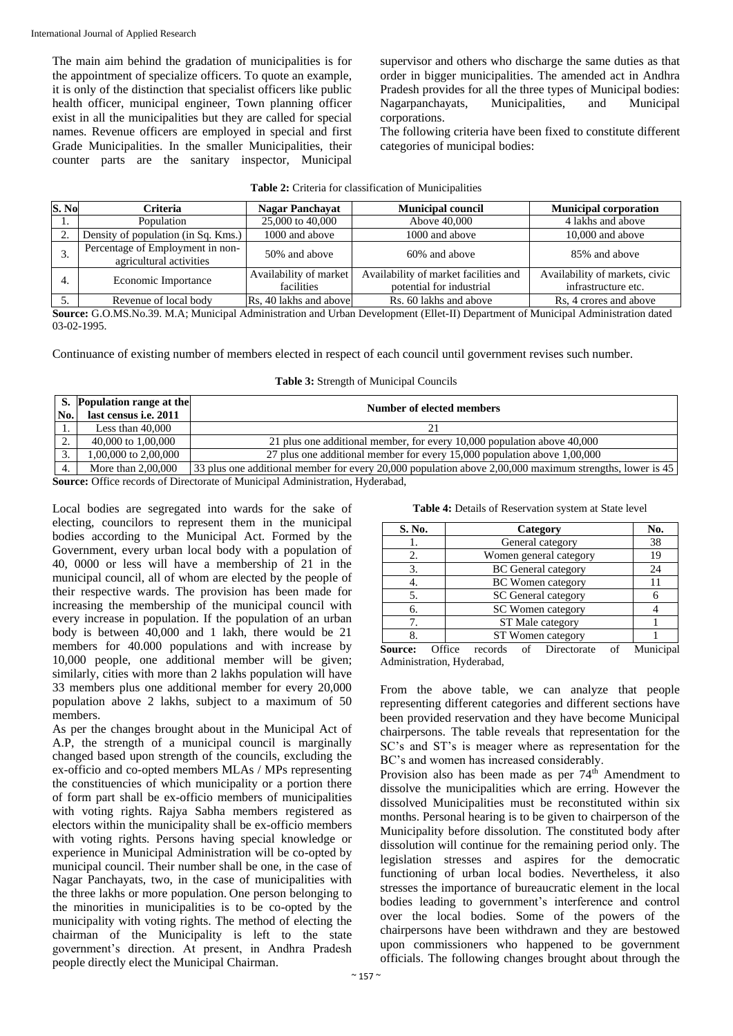The main aim behind the gradation of municipalities is for the appointment of specialize officers. To quote an example, it is only of the distinction that specialist officers like public health officer, municipal engineer, Town planning officer exist in all the municipalities but they are called for special names. Revenue officers are employed in special and first Grade Municipalities. In the smaller Municipalities, their counter parts are the sanitary inspector, Municipal

supervisor and others who discharge the same duties as that order in bigger municipalities. The amended act in Andhra Pradesh provides for all the three types of Municipal bodies: Nagarpanchayats, Municipalities, and Municipal corporations.

The following criteria have been fixed to constitute different categories of municipal bodies:

| <b>Table 2:</b> Criteria for classification of Municipalities |
|---------------------------------------------------------------|
|---------------------------------------------------------------|

| S. No | Criteria                                                    | <b>Nagar Panchavat</b>               | <b>Municipal council</b>                                          | <b>Municipal corporation</b>                          |
|-------|-------------------------------------------------------------|--------------------------------------|-------------------------------------------------------------------|-------------------------------------------------------|
| 1.    | Population                                                  | 25,000 to 40,000                     | Above 40,000                                                      | 4 lakhs and above                                     |
| 2.    | Density of population (in Sq. Kms.)                         | 1000 and above                       | 1000 and above                                                    | 10,000 and above                                      |
| 3.    | Percentage of Employment in non-<br>agricultural activities | 50% and above                        | 60% and above                                                     | 85% and above                                         |
| -4.   | Economic Importance                                         | Availability of market<br>facilities | Availability of market facilities and<br>potential for industrial | Availability of markets, civic<br>infrastructure etc. |
| 5.    | Revenue of local body                                       | Rs, 40 lakhs and above               | Rs. 60 lakhs and above                                            | Rs, 4 crores and above                                |

**Source:** G.O.MS.No.39. M.A; Municipal Administration and Urban Development (Ellet-II) Department of Municipal Administration dated 03-02-1995.

Continuance of existing number of members elected in respect of each council until government revises such number.

|  |  | Table 3: Strength of Municipal Councils |  |
|--|--|-----------------------------------------|--|
|--|--|-----------------------------------------|--|

|     | <b>S.</b> Population range at the                                          | Number of elected members                                                                               |  |  |  |  |  |
|-----|----------------------------------------------------------------------------|---------------------------------------------------------------------------------------------------------|--|--|--|--|--|
| No. | last census <i>i.e.</i> 2011                                               |                                                                                                         |  |  |  |  |  |
|     | Less than $40,000$                                                         |                                                                                                         |  |  |  |  |  |
|     | 40,000 to 1,00,000                                                         | 21 plus one additional member, for every 10,000 population above 40,000                                 |  |  |  |  |  |
|     | 1.00.000 to 2.00.000                                                       | 27 plus one additional member for every 15,000 population above 1,00,000                                |  |  |  |  |  |
|     | More than $2.00,000$                                                       | 33 plus one additional member for every 20,000 population above 2,00,000 maximum strengths, lower is 45 |  |  |  |  |  |
|     | Course Office records of Directorate of Municipal Administration Hyderabed |                                                                                                         |  |  |  |  |  |

**Source:** Office records of Directorate of Municipal Administration, Hyderabad,

Local bodies are segregated into wards for the sake of electing, councilors to represent them in the municipal bodies according to the Municipal Act. Formed by the Government, every urban local body with a population of 40, 0000 or less will have a membership of 21 in the municipal council, all of whom are elected by the people of their respective wards. The provision has been made for increasing the membership of the municipal council with every increase in population. If the population of an urban body is between 40,000 and 1 lakh, there would be 21 members for 40.000 populations and with increase by 10,000 people, one additional member will be given; similarly, cities with more than 2 lakhs population will have 33 members plus one additional member for every 20,000 population above 2 lakhs, subject to a maximum of 50 members.

As per the changes brought about in the Municipal Act of A.P, the strength of a municipal council is marginally changed based upon strength of the councils, excluding the ex-officio and co-opted members MLAs / MPs representing the constituencies of which municipality or a portion there of form part shall be ex-officio members of municipalities with voting rights. Rajya Sabha members registered as electors within the municipality shall be ex-officio members with voting rights. Persons having special knowledge or experience in Municipal Administration will be co-opted by municipal council. Their number shall be one, in the case of Nagar Panchayats, two, in the case of municipalities with the three lakhs or more population. One person belonging to the minorities in municipalities is to be co-opted by the municipality with voting rights. The method of electing the chairman of the Municipality is left to the state government's direction. At present, in Andhra Pradesh people directly elect the Municipal Chairman.

| Table 4: Details of Reservation system at State level |  |
|-------------------------------------------------------|--|
|-------------------------------------------------------|--|

| S. No.         |                      | Category                  |  |                            |  |    |  |
|----------------|----------------------|---------------------------|--|----------------------------|--|----|--|
|                |                      | General category          |  |                            |  |    |  |
| 2.             |                      |                           |  | Women general category     |  | 19 |  |
| 3.             |                      |                           |  | <b>BC</b> General category |  | 24 |  |
| 4.             |                      | <b>BC</b> Women category  |  |                            |  |    |  |
| 5.             |                      | SC General category       |  |                            |  |    |  |
| 6.             |                      | SC Women category         |  |                            |  |    |  |
| 7.             |                      | ST Male category          |  |                            |  |    |  |
| 8.             |                      | ST Women category         |  |                            |  |    |  |
| <b>Source:</b> | $\overline{O}$ ffice | of Directorate<br>records |  |                            |  |    |  |

Administration, Hyderabad,

From the above table, we can analyze that people representing different categories and different sections have been provided reservation and they have become Municipal chairpersons. The table reveals that representation for the SC's and ST's is meager where as representation for the BC's and women has increased considerably.

Provision also has been made as per  $74<sup>th</sup>$  Amendment to dissolve the municipalities which are erring. However the dissolved Municipalities must be reconstituted within six months. Personal hearing is to be given to chairperson of the Municipality before dissolution. The constituted body after dissolution will continue for the remaining period only. The legislation stresses and aspires for the democratic functioning of urban local bodies. Nevertheless, it also stresses the importance of bureaucratic element in the local bodies leading to government's interference and control over the local bodies. Some of the powers of the chairpersons have been withdrawn and they are bestowed upon commissioners who happened to be government officials. The following changes brought about through the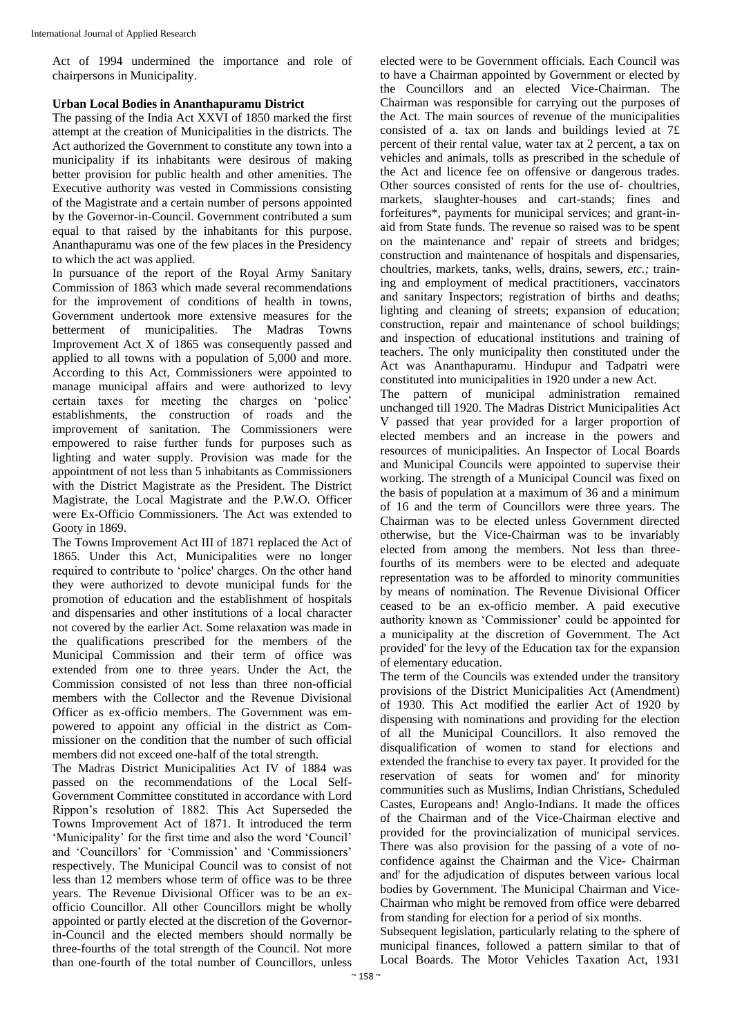Act of 1994 undermined the importance and role of chairpersons in Municipality.

#### **Urban Local Bodies in Ananthapuramu District**

The passing of the India Act XXVI of 1850 marked the first attempt at the creation of Municipalities in the districts. The Act authorized the Government to constitute any town into a municipality if its inhabitants were desirous of making better provision for public health and other amenities. The Executive authority was vested in Commissions consisting of the Magistrate and a certain number of persons appointed by the Governor-in-Council. Government contributed a sum equal to that raised by the inhabitants for this purpose. Ananthapuramu was one of the few places in the Presidency to which the act was applied.

In pursuance of the report of the Royal Army Sanitary Commission of 1863 which made several recommendations for the improvement of conditions of health in towns, Government undertook more extensive measures for the betterment of municipalities. The Madras Towns Improvement Act X of 1865 was consequently passed and applied to all towns with a population of 5,000 and more. According to this Act, Commissioners were appointed to manage municipal affairs and were authorized to levy certain taxes for meeting the charges on 'police' establishments, the construction of roads and the improvement of sanitation. The Commissioners were empowered to raise further funds for purposes such as lighting and water supply. Provision was made for the appointment of not less than 5 inhabitants as Commissioners with the District Magistrate as the President. The District Magistrate, the Local Magistrate and the P.W.O. Officer were Ex-Officio Commissioners. The Act was extended to Gooty in 1869.

The Towns Improvement Act III of 1871 replaced the Act of 1865. Under this Act, Municipalities were no longer required to contribute to 'police' charges. On the other hand they were authorized to devote municipal funds for the promotion of education and the establishment of hospitals and dispensaries and other institutions of a local character not covered by the earlier Act. Some relaxation was made in the qualifications prescribed for the members of the Municipal Commission and their term of office was extended from one to three years. Under the Act, the Commission consisted of not less than three non-official members with the Collector and the Revenue Divisional Officer as ex-officio members. The Government was empowered to appoint any official in the district as Commissioner on the condition that the number of such official members did not exceed one-half of the total strength.

The Madras District Municipalities Act IV of 1884 was passed on the recommendations of the Local Self-Government Committee constituted in accordance with Lord Rippon's resolution of 1882. This Act Superseded the Towns Improvement Act of 1871. It introduced the term 'Municipality' for the first time and also the word 'Council' and 'Councillors' for 'Commission' and 'Commissioners' respectively. The Municipal Council was to consist of not less than 12 members whose term of office was to be three years. The Revenue Divisional Officer was to be an exofficio Councillor. All other Councillors might be wholly appointed or partly elected at the discretion of the Governorin-Council and the elected members should normally be three-fourths of the total strength of the Council. Not more than one-fourth of the total number of Councillors, unless

elected were to be Government officials. Each Council was to have a Chairman appointed by Government or elected by the Councillors and an elected Vice-Chairman. The Chairman was responsible for carrying out the purposes of the Act. The main sources of revenue of the municipalities consisted of a. tax on lands and buildings levied at 7£ percent of their rental value, water tax at 2 percent, a tax on vehicles and animals, tolls as prescribed in the schedule of the Act and licence fee on offensive or dangerous trades. Other sources consisted of rents for the use of- choultries, markets, slaughter-houses and cart-stands; fines and forfeitures\*, payments for municipal services; and grant-inaid from State funds. The revenue so raised was to be spent on the maintenance and' repair of streets and bridges; construction and maintenance of hospitals and dispensaries, choultries, markets, tanks, wells, drains, sewers, *etc.;* training and employment of medical practitioners, vaccinators and sanitary Inspectors; registration of births and deaths; lighting and cleaning of streets; expansion of education; construction, repair and maintenance of school buildings; and inspection of educational institutions and training of teachers. The only municipality then constituted under the Act was Ananthapuramu. Hindupur and Tadpatri were constituted into municipalities in 1920 under a new Act.

The pattern of municipal administration remained unchanged till 1920. The Madras District Municipalities Act V passed that year provided for a larger proportion of elected members and an increase in the powers and resources of municipalities. An Inspector of Local Boards and Municipal Councils were appointed to supervise their working. The strength of a Municipal Council was fixed on the basis of population at a maximum of 36 and a minimum of 16 and the term of Councillors were three years. The Chairman was to be elected unless Government directed otherwise, but the Vice-Chairman was to be invariably elected from among the members. Not less than threefourths of its members were to be elected and adequate representation was to be afforded to minority communities by means of nomination. The Revenue Divisional Officer ceased to be an ex-officio member. A paid executive authority known as 'Commissioner' could be appointed for a municipality at the discretion of Government. The Act provided' for the levy of the Education tax for the expansion of elementary education.

The term of the Councils was extended under the transitory provisions of the District Municipalities Act (Amendment) of 1930. This Act modified the earlier Act of 1920 by dispensing with nominations and providing for the election of all the Municipal Councillors. It also removed the disqualification of women to stand for elections and extended the franchise to every tax payer. It provided for the reservation of seats for women and' for minority communities such as Muslims, Indian Christians, Scheduled Castes, Europeans and! Anglo-Indians. It made the offices of the Chairman and of the Vice-Chairman elective and provided for the provincialization of municipal services. There was also provision for the passing of a vote of noconfidence against the Chairman and the Vice- Chairman and' for the adjudication of disputes between various local bodies by Government. The Municipal Chairman and Vice-Chairman who might be removed from office were debarred from standing for election for a period of six months.

Subsequent legislation, particularly relating to the sphere of municipal finances, followed a pattern similar to that of Local Boards. The Motor Vehicles Taxation Act, 1931